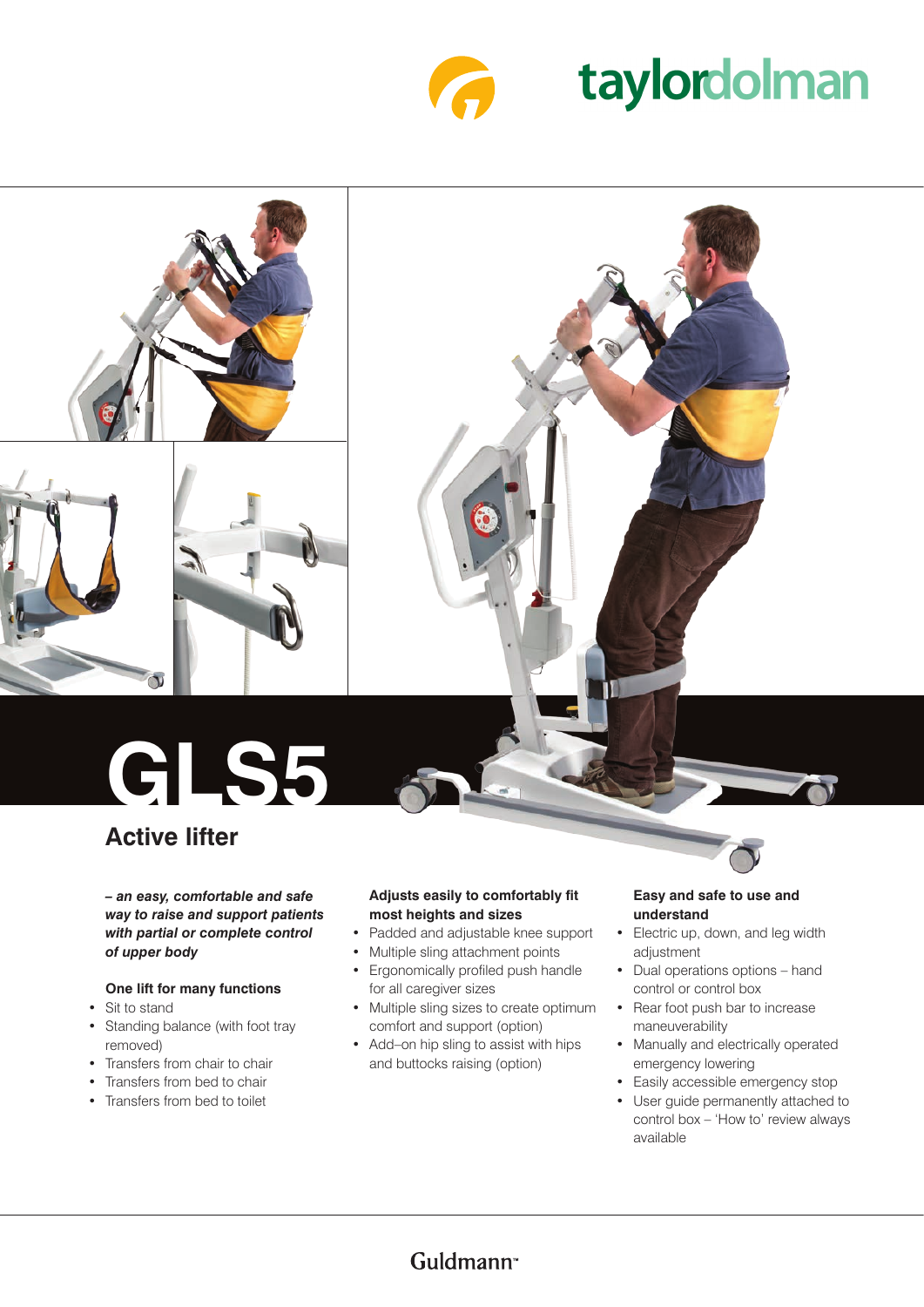

# taylordolman



# **GLS5**

## **Active lifter**

*– an easy, comfortable and safe way to raise and support patients with partial or complete control of upper body*

#### **One lift for many functions**

- Sit to stand
- Standing balance (with foot tray removed)
- Transfers from chair to chair
- Transfers from bed to chair
- Transfers from bed to toilet

#### **Adjusts easily to comfortably fit most heights and sizes**

- • Padded and adjustable knee support
- Multiple sling attachment points
- • Ergonomically profiled push handle for all caregiver sizes
- Multiple sling sizes to create optimum comfort and support (option)
- Add-on hip sling to assist with hips and buttocks raising (option)

#### **Easy and safe to use and understand**

- Electric up, down, and leg width adjustment
- • Dual operations options hand control or control box
- Rear foot push bar to increase maneuverability
- Manually and electrically operated emergency lowering
- Easily accessible emergency stop
- • User guide permanently attached to control box – 'How to' review always available

### Guldmann<sup>®</sup>